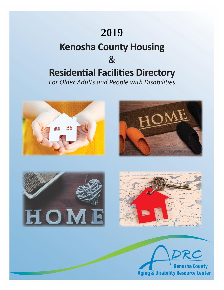# **2019**

## **Kenosha County Housing**

## $8<sub>l</sub>$

# **Residential Facilities Directory**

For Older Adults and People with Disabilities









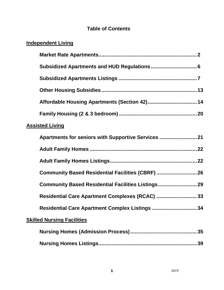### **Table of Contents**

## **Independent Living**

|                        | Affordable Housing Apartments (Section 42) 14       |    |  |  |
|------------------------|-----------------------------------------------------|----|--|--|
|                        |                                                     |    |  |  |
| <b>Assisted Living</b> |                                                     |    |  |  |
|                        | Apartments for seniors with Supportive Services  21 |    |  |  |
|                        |                                                     |    |  |  |
|                        |                                                     |    |  |  |
|                        | Community Based Residential Facilities (CBRF)  26   |    |  |  |
|                        | Community Based Residential Facilities Listings 29  |    |  |  |
|                        | Residential Care Apartment Complexes (RCAC) 33      |    |  |  |
|                        | Residential Care Apartment Complex Listings 34      |    |  |  |
|                        | <b>Skilled Nursing Facilities</b>                   |    |  |  |
|                        |                                                     | 35 |  |  |
|                        |                                                     | 39 |  |  |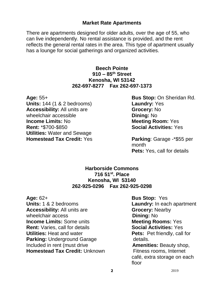#### **Market Rate Apartments**

There are apartments designed for older adults, over the age of 55, who can live independently. No rental assistance is provided, and the rent reflects the general rental rates in the area. This type of apartment usually has a lounge for social gatherings and organized activities.

#### **Beech Pointe 910 – 85th Street Kenosha, WI 53142 262-697-8277 Fax 262-697-1373**

**Units:** 144 (1 & 2 bedrooms) **Laundry:** Yes **Accessibility:** All units are **Grocery:** No wheelchair accessible **Dining:** No **Income Limits:** No **Meeting Room:** Yes **Rent:** \*\$700-\$850 **Social Activities:** Yes **Utilities:** Water and Sewage **Homestead Tax Credit:** Yes **Parking**: Garage -\*\$55 per

**Age:** 55+ **Bus Stop:** On Sheridan Rd.

month **Pets:** Yes, call for details

#### **Harborside Commons 716 51st. Place Kenosha, WI 53140 262-925-0296 Fax 262-925-0298**

**Age:** 62+ **Bus Stop:** Yes **Units:** 1 & 2 bedrooms **Laundry:** In each apartment **Accessibility:** All units are **Grocery:** Nearby wheelchair access **Dining:** No **Income Limits:** Some units **Meeting Rooms:** Yes **Rent:** Varies, call for details **Social Activities:** Yes **Utilities:** Heat and water **Pets:** Pet friendly, call for **Parking:** Underground Garage details. Included in rent (must drive **Amenities:** Beauty shop, **Homestead Tax Credit:** Unknown Fitness rooms, Internet

café, extra storage on each floor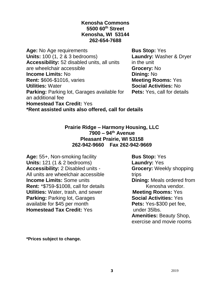#### **Kenosha Commons 5500 60th Street Kenosha, WI 53144 262-654-7688**

Age: No Age requirements **Bus Stop:** Yes **Units:** 100 (1, 2 & 3 bedrooms) **Laundry:** Washer & Dryer **Accessibility:** 52 disabled units, all units in the unit are wheelchair accessible **Grocery:** No **Income Limits: No <b>Dining: No Dining: No Rent:** \$606-\$1016, varies **Meeting Rooms:** Yes **Utilities:** Water **Social Activities:** No **Parking: Parking lot, Garages available for Pets: Yes, call for details** an additional fee **Homestead Tax Credit:** Yes **\*Rent assisted units also offered, call for details**

**Prairie Ridge – Harmony Housing, LLC 7900 – 94th Avenue Pleasant Prairie, WI 53158 262-942-9660 Fax 262-942-9669**

**Age:** 55+, Non-smoking facility **Bus Stop:** Yes **Units:** 121 (1 & 2 bedrooms) **Laundry:** Yes<br> **Accessibility:** 2 Disabled units - **Grocery:** Weekly shopping **Accessibility: 2 Disabled units -**All units are wheelchair accessible trips **Income Limits:** Some units **Dining:** Meals ordered from **Rent:** \*\$759-\$1008, call for details **Example 20 Kenosha vendor. Utilities:** Water, trash, and sewer **Meeting Rooms:** Yes **Parking:** Parking lot, Garages **Social Activities:** Yes available for \$45 per month **Pets:** Yes-\$300 pet fee, **Homestead Tax Credit:** Yes under 35lbs.

**Amenities:** Beauty Shop, exercise and movie rooms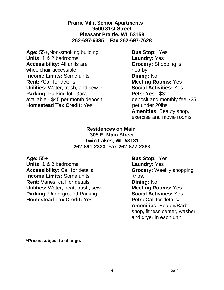**Prairie Villa Senior Apartments 9500 81st Street Pleasant Prairie, WI 53158 262-697-6335 Fax 262-697-7628**

Age: 55+, Non-smoking building **Bus Stop:** Yes **Units:** 1 & 2 bedrooms **Laundry:** Yes **Accessibility:** All units are **Grocery:** Shopping is wheelchair accessible nearby **Income Limits:** Some units **Dining:** No **Rent:** \*Call for details **Meeting Rooms:** Yes **Utilities:** Water, trash, and sewer **Social Activities:** Yes **Parking:** Parking lot; Garage **Pets:** Yes - \$300 available - \$45 per month deposit. deposit,and monthly fee \$25 **Homestead Tax Credit:** Yes pet under 20lbs

**Amenities:** Beauty shop, exercise and movie rooms

#### **Residences on Main 305 E. Main Street Twin Lakes, WI 53181 262-891-2323 Fax 262-877-2883**

**Age:** 55+ **Bus Stop:** Yes **Units:** 1 & 2 bedrooms **Laundry:** Yes **Accessibility:** Call for details **Grocery:** Weekly shopping **Income Limits:** Some units trips. **Rent:** Varies, call for details **Dining:** No **Utilities:** Water, heat, trash, sewer **Meeting Rooms:** Yes **Parking:** Underground Parking **Social Activities:** Yes **Homestead Tax Credit:** Yes **Pets: Call for details.** 

**Amenities:** Beauty/Barber shop, fitness center, washer and dryer in each unit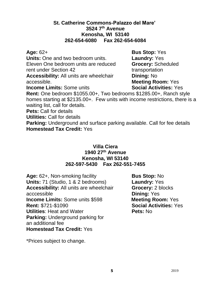#### **St. Catherine Commons-Palazzo del Mare' 3524 7th Avenue Kenosha, WI 53140 262-654-6080 Fax 262-654-6084**

**Units:** One and two bedroom units. **Laundry:** Yes Eleven One bedroom units are reduced **Grocery:** Scheduled rent under Section 42 transportation **Accessibility:** All units are wheelchair **Dining:** No accessible. **Meeting Room:** Yes

**Age:** 62+ **Bus Stop:** Yes **Income Limits:** Some units **Social Activities:** Yes

**Rent:** One bedroom \$1055.00+, Two bedrooms \$1285.00+, Ranch style homes starting at \$2135.00+. Few units with income restrictions, there is a waiting list, call for details.

**Pets:** Call for details

**Utilities:** Call for details

**Parking:** Underground and surface parking available. Call for fee details **Homestead Tax Credit:** Yes

#### **Villa Ciera 1940 27th Avenue Kenosha, WI 53140 262-597-5430 Fax 262-551-7455**

**Age:** 62+, Non-smoking facility **Bus Stop:** No **Units:** 71 (Studio, 1 & 2 bedrooms) **Laundry:** Yes **Accessibility:** All units are wheelchair **Grocery:** 2 blocks acccessible **Dining:** Yes **Income Limits:** Some units \$598 **Meeting Room:** Yes **Rent:** \$721-\$1090 **Social Activities:** Yes **Utilities:** Heat and Water **Pets:** No **Parking:** Underground parking for an additional fee **Homestead Tax Credit:** Yes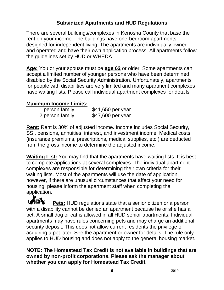### **Subsidized Apartments and HUD Regulations**

There are several buildings/complexes in Kenosha County that base the rent on your income. The buildings have one-bedroom apartments designed for independent living. The apartments are individually owned and operated and have their own application process. All apartments follow the guidelines set by HUD or WHEDA.

**Age:** You or your spouse must be **age 62** or older. Some apartments can accept a limited number of younger persons who have been determined disabled by the Social Security Administration. Unfortunately, apartments for people with disabilities are very limited and many apartment complexes have waiting lists. Please call individual apartment complexes for details.

### **Maximum Income Limits:**

| 1 person family | \$41,650 per year |
|-----------------|-------------------|
| 2 person family | \$47,600 per year |

**Rent:** Rent is 30% of adjusted income. Income includes Social Security, SSI, pensions, annuities, interest, and investment income. Medical costs (insurance premiums, prescriptions, medical supplies, etc.) are deducted from the gross income to determine the adjusted income.

**Waiting List:** You may find that the apartments have waiting lists. It is best to complete applications at several complexes. The individual apartment complexes are responsible for determining their own criteria for their waiting lists. Most of the apartments will use the date of application, however, if there are unusual circumstances that affect your need for housing, please inform the apartment staff when completing the application.

**Pets:** HUD regulations state that a senior citizen or a person with a disability cannot be denied an apartment because he or she has a pet. A small dog or cat is allowed in all HUD senior apartments. Individual apartments may have rules concerning pets and may charge an additional security deposit. This does not allow current residents the privilege of acquiring a pet later. See the apartment or owner for details. The rule only applies to HUD housing and does not apply to the general housing market.

**NOTE: The Homestead Tax Credit is not available in buildings that are owned by non-profit corporations. Please ask the manager about whether you can apply for Homestead Tax Credit.**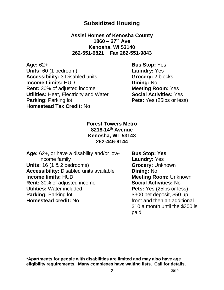### **Subsidized Housing**

**Assisi Homes of Kenosha County 1860 – 27th Ave Kenosha, WI 53140 262-551-9821 Fax 262-551-9843**

**Age:** 62+ **Bus Stop:** Yes **Units:** 60 (1 bedroom) **Laundry:** Yes **Accessibility:** 3 Disabled units **Grocery:** 2 blocks **Income Limits:** HUD **Dining:** No **Rent:** 30% of adjusted income **Meeting Room:** Yes **Utilities:** Heat, Electricity and Water **Social Activities:** Yes **Parking**: Parking lot **Pets:** Yes (25lbs or less) **Homestead Tax Credit:** No

**Forest Towers Metro 8218-14th Avenue Kenosha, WI 53143 262-446-9144**

**Age:** 62+, or have a disability and/or low- **Bus Stop: Yes** income family **Laundry:** Yes **Units:** 16 (1 & 2 bedrooms) **Grocery:** Unknown **Accessibility:** Disabled units available **Dining:** No **Income limits: HUD Meeting Room: Unknown Rent:** 30% of adjusted income **Social Activities:** No **Utilities:** Water included **Pets:** Yes (25lbs or less) **Parking:** Parking lot **\$300 pet deposit, \$50 up Homestead credit:** No *homestead credit:* No *homestead credit:* No

\$10 a month until the \$300 is paid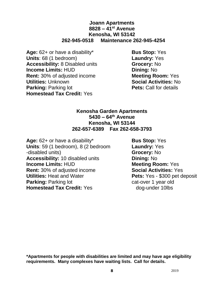#### **Joann Apartments 8828 – 41st Avenue Kenosha, WI 53142 262-945-0518 Maintenance 262-945-4254**

- **Age:** 62+ or have a disability\* **Bus Stop:** Yes **Units**: 68 (1 bedroom) **Laundry:** Yes **Accessibility:** 8 Disabled units **Grocery:** No **Income Limits:** HUD **Dining:** No **Rent:** 30% of adjusted income **Meeting Room:** Yes **Utilities:** Unknown **Social Activities:** No **Parking:** Parking lot **Pets:** Call for details **Homestead Tax Credit:** Yes
	-

#### **Kenosha Garden Apartments 5430 – 64th Avenue Kenosha, WI 53144 262-657-6389 Fax 262-658-3793**

Age: 62+ or have a disability\* **Bus Stop:** Yes **Units**: 59 (1 bedroom), 8 (2 bedroom **Laundry:** Yes -disabled units) **Grocery:** No **Accessibility:** 10 disabled units **Dining:** No **Income Limits: HUD Meeting Room:** Yes **Rent:** 30% of adjusted income **Social Activities:** Yes **Utilities:** Heat and Water **Pets:** Yes - \$300 pet deposit **Parking:** Parking lot **Cat-over 1 year old Homestead Tax Credit:** Yes dog-under 10lbs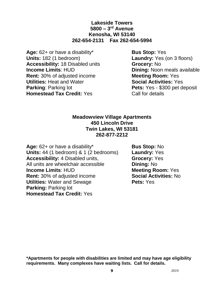#### **Lakeside Towers 5800 – 3 rd Avenue Kenosha, WI 53140 262-654-2131 Fax 262-654-5994**

Age: 62+ or have a disability\* **Bus Stop:** Yes **Units:** 182 (1 bedroom) **Laundry:** Yes (on 3 floors) **Accessibility:** 18 Disabled units **Grocery:** No **Income Limits**: HUD **Dining:** Noon meals available **Rent:** 30% of adjusted income **Meeting Room:** Yes **Utilities:** Heat and Water **Social Activities:** Yes **Parking:** Parking lot **Pets:** Yes - \$300 pet deposit **Homestead Tax Credit:** Yes Call for details

#### **Meadowview Village Apartments 450 Lincoln Drive Twin Lakes, WI 53181 262-877-2212**

**Age:** 62+ or have a disability\* **Bus Stop:** No **Units:** 44 (1 bedroom) & 1 (2 bedrooms) **Laundry:** Yes **Accessibility:** 4 Disabled units, **Grocery:** Yes All units are wheelchair accessible **Dining:** No **Income Limits: HUD Meeting Room: Yes Rent:** 30% of adjusted income **Social Activities:** No **Utilities:** Water and Sewage **Pets:** Yes **Parking:** Parking lot **Homestead Tax Credit:** Yes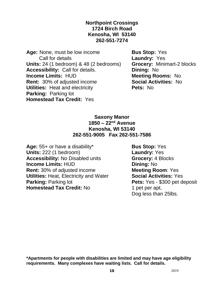**Northpoint Crossings 1724 Birch Road Kenosha, WI 53140 262-551-7274**

**Age:** None, must be low income **Bus Stop:** Yes Call for details **Laundry:** Yes **Units:** 24 (1 bedroom) & 48 (2 bedrooms) **Grocery:** Minimart-2 blocks **Accessibility:** Call for details. **Dining:** No **Income Limits: HUD Meeting Rooms: No Rent:** 30% of adjusted income **Social Activities:** No **Utilities:** Heat and electricity **Pets:** No **Parking:** Parking lot **Homestead Tax Credit:** Yes

#### **Saxony Manor 1850 – 22nd Avenue Kenosha, WI 53140 262-551-9005 Fax 262-551-7586**

**Age:** 55+ or have a disability\* **Bus Stop:** Yes **Units:** 222 (1 bedroom) **Laundry:** Yes **Accessibility:** No Disabled units **Grocery:** 4 Blocks **Income Limits:** HUD **Dining:** No **Rent:** 30% of adjusted income **Meeting Room**: Yes **Utilities:** Heat, Electricity and Water **Social Activities:** Yes **Parking:** Parking lot **Pets:** Yes - \$300 pet deposit **Homestead Tax Credit:** No 1 pet per apt,

Dog less than 25lbs.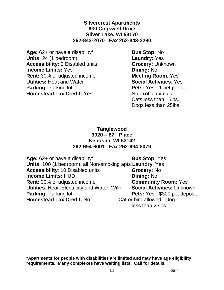**Silvercrest Apartments 630 Cogswell Drive Silver Lake, WI 53170 262-843-2070 Fax 262-843-2290**

**Age:** 62+ or have a disability\* **Bus Stop:** No **Units:** 24 (1 bedroom) **Laundry:** Yes **Accessibility:** 2 Disabled units **Grocery:** Unknown **Income Limits:** Yes **Dining:** No **Rent:** 30% of adjusted income **Meeting Room**: Yes **Utilities:** Heat and Water **Social Activities**: Yes **Parking:** Parking lot **Pets:** Yes - 1 pet per apt. **Homestead Tax Credit:** Yes No exotic animals.

Cats less than 15lbs. Dogs less than 25lbs.

#### **Tanglewood 3020 – 87th Place Kenosha, WI 53142 262-694-6001 Fax 262-694-8079**

Age: 62+ or have a disability\* **Bus Stop:** Yes **Units:** 100 (1 bedroom), all Non-smoking apts **Laundry**: Yes **Accessibility**: 10 Disabled units **Grocery:** No **Income Limits:** HUD **Dining:** No **Rent:** 30% of adjusted income **Community Room:** Yes **Utilities**: Heat, Electricity and Water, WiFi **Social Activities:** Unknown **Parking:** Parking lot **Pets:** Yes - \$300 pet deposit **Homestead Tax Credit:** No Cat or bird allowed. Dog less than 25lbs.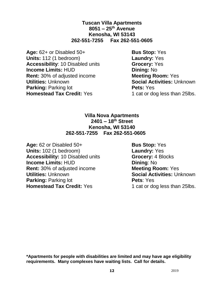**Tuscan Villa Apartments 8051 – 25th Avenue Kenosha, WI 53143 262-551-7255 Fax 262-551-0605**

Age:  $62+$  or Disabled  $50+$  **Bus Stop:** Yes **Units:** 112 (1 bedroom) **Laundry:** Yes **Accessibility**: 10 Disabled units **Grocery:** Yes **Income Limits:** HUD **Dining:** No **Rent:** 30% of adjusted income **Meeting Room:** Yes **Utilities:** Unknown **Social Activities:** Unknown **Parking:** Parking lot **Pets:** Yes **Homestead Tax Credit:** Yes 1 cat or dog less than 25lbs.

#### **Villa Nova Apartments 2401 – 18th Street Kenosha, WI 53140 262-551-7255 Fax 262-551-0605**

Age: 62 or Disabled 50+ **Bus Stop:** Yes **Units:** 102 (1 bedroom) **Laundry:** Yes **Accessibility:** 10 Disabled units **Grocery:** 4 Blocks **Income Limits: HUD Dining: No. 2018 Rent:** 30% of adjusted income **Meeting Room:** Yes **Utilities: Unknown <b>Social Activities:** Unknown **Parking:** Parking lot **Pets**: Yes **Homestead Tax Credit:** Yes 1 cat or dog less than 25lbs.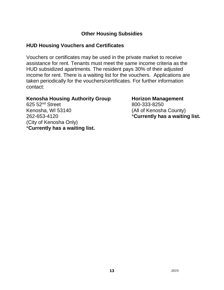### **Other Housing Subsidies**

### **HUD Housing Vouchers and Certificates**

Vouchers or certificates may be used in the private market to receive assistance for rent. Tenants must meet the same income criteria as the HUD subsidized apartments. The resident pays 30% of their adjusted income for rent. There is a waiting list for the vouchers. Applications are taken periodically for the vouchers/certificates. For further information contact:

#### **Kenosha Housing Authority Group Horizon Management**

625 52<sup>nd</sup> Street 800-333-8250 Kenosha, WI 53140 (All of Kenosha County) 262-653-4120 \***Currently has a waiting list.** (City of Kenosha Only) \***Currently has a waiting list.**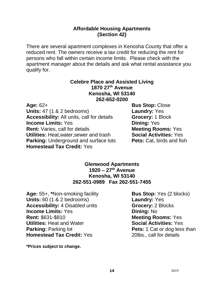#### **Affordable Housing Apartments (Section 42)**

There are several apartment complexes in Kenosha County that offer a reduced rent. The owners receive a tax credit for reducing the rent for persons who fall within certain income limits. Please check with the apartment manager about the details and ask what rental assistance you qualify for.

#### **Celebre Place and Assisted Living 1870 27th Avenue Kenosha, WI 53140 262-652-0200**

**Age:** 62+ **Bus Stop:** Close **Units:** 47 (1 & 2 bedrooms) **Laundry:** Yes **Accessibility:** All units, call for details **Grocery:** 1 Block **Income Limits:** Yes **Dining:** Yes **Rent:** Varies, call for details **Meeting Rooms:** Yes **Utilities:** Heat,water,sewer and trash **Social Activities:** Yes **Parking:** Underground and surface lots **Pets:** Cat, birds and fish **Homestead Tax Credit:** Yes

#### **Glenwood Apartments 1920 – 27th Avenue Kenosha, WI 53140 262-551-0989 Fax 262-551-7455**

Age: 55+, \*Non-smoking facility **Bus Stop:** Yes (2 blocks) **Units:** 60 (1 & 2 bedrooms) **Laundry:** Yes **Accessibility:** 4 Disabled units **Grocery:** 2 Blocks **Income Limits:** Yes **Dining:** No **Rent:** \$631-\$810 **Meeting Rooms:** Yes **Utilities:** Heat and Water **Social Activities:** Yes **Parking:** Parking lot **Pets:** 1 Cat or dog less than **Homestead Tax Credit:** Yes 20lbs., call for details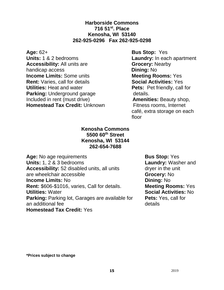#### **Harborside Commons 716 51st. Place Kenosha, WI 53140 262-925-0296 Fax 262-925-0298**

**Age:** 62+<br> **Bus Stop:** Yes<br> **Disk Controllering Caundry:** In eac **Accessibility:** All units are **Grocery:** Nearby handicap access **Dining:** No **Income Limits:** Some units **Meeting Rooms:** Yes **Rent:** Varies. call for details **Meeting Rooms:** Yes **Rent:** Varies, call for details **Utilities:** Heat and water **Pets:** Pet friendly, call for **Parking:** Underground garage details. Included in rent (must drive) **Amenities:** Beauty shop, **Homestead Tax Credit:** Unknown Fitness rooms, Internet

Laundry: In each apartment café, extra storage on each

floor

#### **Kenosha Commons 5500 60th Street Kenosha, WI 53144 262-654-7688**

Age: No age requirements **Bus Stop:** Yes **Units:** 1, 2 & 3 bedrooms **Laundry:** Washer and Accessibility: 52 disabled units, all units dryer in the unit are wheelchair accessible **Grocery:** No **Income Limits: No** *Dining: No* **Dining: No Rent: \$606-\$1016, varies, Call for details. <b>Neeting Rooms:** Yes **Rent: \$606-\$1016, varies, Call for details. Utilities:** Water **Social Activities:** No **Parking: Parking lot, Garages are available for Pets: Yes, call for** an additional fee details **Homestead Tax Credit:** Yes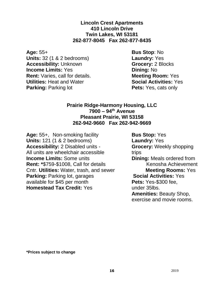**Lincoln Crest Apartments 410 Lincoln Drive Twin Lakes, WI 53181 262-877-8045 Fax 262-877-8435**

**Age:** 55+ **Bus Stop**: No **Units:** 32 (1 & 2 bedrooms) **Laundry:** Yes **Accessibility:** Unknown **Grocery:** 2 Blocks **Income Limits:** Yes **Dining:** No **Rent:** Varies, call for details. **Meeting Room:** Yes **Utilities:** Heat and Water **Social Activities:** Yes **Parking:** Parking lot **Pets:** Yes, cats only

#### **Prairie Ridge-Harmony Housing, LLC 7900 – 94th Avenue Pleasant Prairie, WI 53158 262-942-9660 Fax 262-942-9669**

Age: 55+, Non-smoking facility **Bus Stop:** Yes **Units:** 121 (1 & 2 bedrooms) **Laundry:** Yes **Accessibility:** 2 Disabled units - **Grocery:** Weekly shopping All units are wheelchair accessible trips **Income Limits:** Some units **Dining:** Meals ordered from **Rent:** \*\$759-\$1008, Call for details Kenosha Achievement Cntr. **Utilities:** Water, trash, and sewer **Meeting Rooms:** Yes **Parking:** Parking lot, garages **Social Activities:** Yes **available for \$45 per month Pets:** Yes-\$300 fee. available for \$45 per month **Homestead Tax Credit:** Yes under 35lbs.

**Amenities:** Beauty Shop, exercise and movie rooms.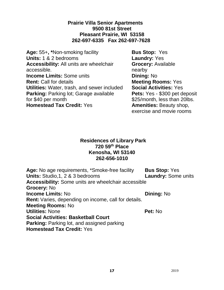#### **Prairie Villa Senior Apartments 9500 81st Street Pleasant Prairie, WI 53158 262-697-6335 Fax 262-697-7628**

Age: 55+, \*Non-smoking facility **Bus Stop:** Yes **Units:** 1 & 2 bedrooms **Laundry:** Yes **Accessibility:** All units are wheelchair **Grocery:** Available accessible. The contract of the contract of the contract of the contract of the contract of the contract of the contract of the contract of the contract of the contract of the contract of the contract of the contract of th **Income Limits:** Some units **Dining:** No **Rent:** Call for details **Meeting Rooms:** Yes **Utilities:** Water, trash, and sewer included **Social Activities:** Yes **Parking:** Parking lot; Garage available **Pets:** Yes - \$300 pet deposit for \$40 per month  $$25/m$ onth, less than 20lbs. **Homestead Tax Credit:** Yes **Amenities:** Beauty shop,

exercise and movie rooms

#### **Residences of Library Park 720 59th Place Kenosha, WI 53140 262-656-1010**

Age: No age requirements, \*Smoke-free facility **Bus Stop:** Yes **Units:** Studio,1, 2 & 3 bedrooms **Laundry:** Some units **Accessibility:** Some units are wheelchair accessible **Grocery:** No **Income Limits:** No **Dining:** No **Rent:** Varies, depending on income, call for details. **Meeting Rooms:** No **Utilities:** None **Pet:** No **Social Activities: Basketball Court Parking: Parking lot, and assigned parking Homestead Tax Credit:** Yes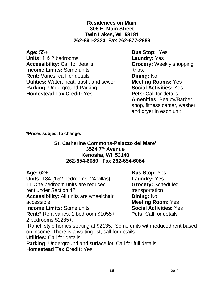#### **Residences on Main 305 E. Main Street Twin Lakes, WI 53181 262-891-2323 Fax 262-877-2883**

**Age:** 55+ **Bus Stop:** Yes **Units:** 1 & 2 bedrooms **Laundry:** Yes **Accessibility:** Call for details **Grocery:** Weekly shopping **Income Limits:** Some units trips. **Rent:** Varies, call for details **Dining:** No **Utilities:** Water, heat, trash, and sewer **Meeting Rooms:** Yes **Parking:** Underground Parking **Social Activities:** Yes **Homestead Tax Credit:** Yes **Pets: Call for details.** 

**Amenities:** Beauty/Barber shop, fitness center, washer and dryer in each unit

**\*Prices subject to change.**

#### **St. Catherine Commons-Palazzo del Mare' 3524 7th Avenue Kenosha, WI 53140 262-654-6080 Fax 262-654-6084**

**Units:** 184 (1&2 bedrooms, 24 villas) **Laundry:** Yes 11 One bedroom units are reduced **Grocery:** Scheduled rent under Section 42.

**Accessibility:** All units are wheelchair **Dining:** No accessible **Meeting Room:** Yes

**Income Limits:** Some units **Social Activities:** Yes

**Rent:\*** Rent varies; 1 bedroom \$1055+ **Pets:** Call for details 2 bedrooms \$1285+.

**Age:** 62+ **Bus Stop:** Yes

Ranch style homes starting at \$2135. Some units with reduced rent based on income, There is a waiting list, call for details.

**Utilities:** Call for details

**Parking:** Underground and surface lot. Call for full details **Homestead Tax Credit:** Yes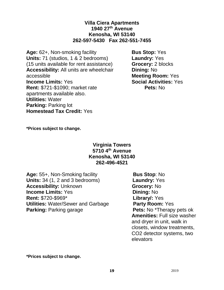#### **Villa Ciera Apartments 1940 27th Avenue Kenosha, WI 53140 262-597-5430 Fax 262-551-7455**

Age: 62+, Non-smoking facility **Bus Stop:** Yes **Units:** 71 (studios, 1 & 2 bedrooms) **Laundry:** Yes (15 units available for rent assistance) **Grocery:** 2 blocks **Accessibility:** All units are wheelchair **Dining:** No accessible **Meeting Room:** Yes **Income Limits:** Yes **Social Activities:** Yes **Rent:** \$721-\$1090; market rate **Pets:** No apartments available also. **Utilities:** Water **Parking:** Parking lot **Homestead Tax Credit:** Yes

**\*Prices subject to change.**

#### **Virginia Towers 5710 4th Avenue Kenosha, WI 53140 262-496-4521**

**Age:** 55+, Non-Smoking facility **Bus Stop**: No **Units:** 34 (1, 2 and 3 bedrooms) **Laundry:** Yes **Accessibility:** Unknown **Grocery:** No **Income Limits:** Yes **Dining:** No **Rent:** \$720-\$969\* **Library/:** Yes **Utilities:** Water/Sewer and Garbage **Party Room:** Yes **Parking:** Parking garage **Pets:** No \*Therapy pets ok

**Amenities:** Full size washer and dryer in unit, walk in closets, window treatments, CO2 detector systems, two elevators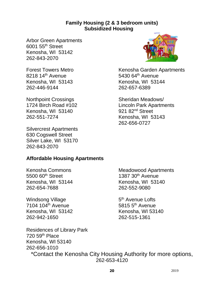#### **Family Housing (2 & 3 bedroom units) Subsidized Housing**

Arbor Green Apartments 6001 55th Street Kenosha, WI 53142 262-843-2070

8218 14<sup>th</sup> Avenue 5430 64<sup>th</sup> Avenue Kenosha, WI 53143 Kenosha, WI 53144 262-446-9144 262-657-6389

Northpoint Crossings Sheridan Meadows/ Kenosha, WI 53140 921 82<sup>nd</sup> Street 262-551-7274 Kenosha, WI 53143

Silvercrest Apartments 630 Cogswell Street Silver Lake, WI 53170 262-843-2070

Forest Towers Metro **Kenosha Garden Apartments** 

1724 Birch Road #102 Lincoln Park Apartments 262-656-0727

### **Affordable Housing Apartments**

Kenosha, WI 53144 262-654-7688 262-552-9080

Windsong Village 7104 104<sup>th</sup> Avenue 5815 5<sup>th</sup> Avenue Kenosha, WI 53142 Kenosha, WI 53140 262-942-1650 262-515-1361

Kenosha Commons **Meadowood Apartments** 5500 60<sup>th</sup> Street 1387 30<sup>th</sup> Avenue<br>Kenosha, WI 53144 1387 30<sup>th</sup> Avenue

5<sup>th</sup> Avenue Lofts

Residences of Library Park 720 59th Place Kenosha, WI 53140 262-656-1010

\*Contact the Kenosha City Housing Authority for more options, 262-653-4120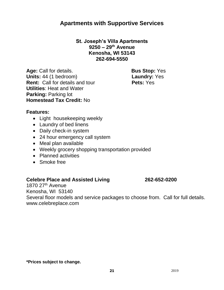### **Apartments with Supportive Services**

#### **St. Joseph's Villa Apartments 9250 – 29th Avenue Kenosha, WI 53143 262-694-5550**

**Age:** Call for details. **Bus Stop:** Yes **Units:** 44 (1 bedroom) **Laundry:** Yes **Rent:** Call for details and tour **Pets:** Yes **Utilities**: Heat and Water **Parking:** Parking lot **Homestead Tax Credit:** No

#### **Features:**

- Light housekeeping weekly
- Laundry of bed linens
- Daily check-in system
- 24 hour emergency call system
- Meal plan available
- Weekly grocery shopping transportation provided
- Planned activities
- Smoke free

#### **Celebre Place and Assisted Living 262-652-0200**

1870  $27<sup>th</sup>$  Avenue Kenosha, WI 53140 Several floor models and service packages to choose from. Call for full details. www.celebreplace.com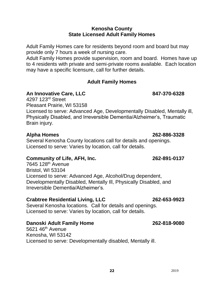#### **Kenosha County State Licensed Adult Family Homes**

Adult Family Homes care for residents beyond room and board but may provide only 7 hours a week of nursing care.

Adult Family Homes provide supervision, room and board. Homes have up to 4 residents with private and semi-private rooms available. Each location may have a specific licensure, call for further details.

#### **Adult Family Homes**

#### **An Innovative Care, LLC 847-370-6328**

4297 123rd Street Pleasant Prairie, WI 53158 Licensed to serve: Advanced Age, Developmentally Disabled, Mentally ill, Physically Disabled, and Irreversible Dementia/Alzheimer's, Traumatic Brain injury.

#### **Alpha Homes 262-886-3328**

Several Kenosha County locations call for details and openings. Licensed to serve: Varies by location, call for details.

### **Community of Life, AFH, Inc. 262-891-0137**

7645 128th Avenue Bristol, WI 53104 Licensed to serve: Advanced Age, Alcohol/Drug dependent, Developmentally Disabled, Mentally Ill, Physically Disabled, and Irreversible Dementia/Alzheimer's.

#### **Crabtree Residential Living, LLC 262-653-9923**

Several Kenosha locations. Call for details and openings. Licensed to serve: Varies by location, call for details.

### **Danoski Adult Family Home 262-818-9080**

5621 46<sup>th</sup> Avenue Kenosha, WI 53142 Licensed to serve: Developmentally disabled, Mentally ill.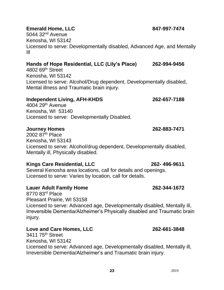### **Emerald Home, LLC 847-997-7474**

 $5044$   $32<sup>nd</sup>$  Avenue Kenosha, WI 53142 Licensed to serve: Developmentally disabled, Advanced Age, and Mentally Ill

#### **Hands of Hope Residential, LLC (Lily's Place) 262-994-9456**

4802 69th Street Kenosha, WI 53142 Licensed to serve: Alcohol/Drug dependent, Developmentally disabled, Mental illness and Traumatic brain injury.

#### **Independent Living, AFH-KHDS 262-657-7188**

4004 29th Avenue Kenosha, WI 53140 Licensed to serve: Developmentally Disabled.

#### **Journey Homes 262-883-7471**

2002  $87<sup>th</sup>$  Place Kenosha, WI 53143 Licensed to serve: Alcohol/drug dependent, Developmentally disabled, Mentally ill, Physically disabled.

#### **Kings Care Residential, LLC 262- 496-9611**

Several Kenosha area locations, call for details and openings. Licensed to serve: Varies by location, call for details.

#### **Lauer Adult Family Home 262-344-1672**

8770 83rd Place Pleasant Prairie, WI 53158 Licensed to serve: Advanced age, Developmentally disabled, Mentally ill, Irreversible Dementia/Alzheimer's Physically disabled and Traumatic brain injury.

### **Love and Care Homes, LLC 262-661-3848**

3411 75th Street Kenosha, WI 53142 Licensed to serve: Advanced age, Developmentally disabled, Mentally ill, Irreversible Dementia/Alzheimer's and Traumatic brain injury.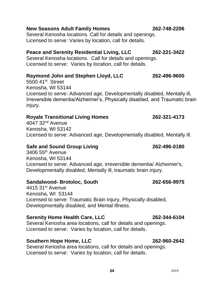#### **New Seasons Adult Family Homes 262-748-2206**

Several Kenosha locations. Call for details and openings. Licensed to serve: Varies by location, call for details.

### **Peace and Serenity Residential Living, LLC 262-221-3422**

Several Kenosha locations. Call for details and openings. Licensed to serve: Varies by location, call for details.

### **Raymond John and Stephen Lloyd, LLC 262-496-9600**

5500 41st. Street Kenosha, WI 53144 Licensed to serve: Advanced age, Developmentally disabled, Mentally ill, Irreversible dementia/Alzheimer's, Physically disabled, and Traumatic brain injury.

#### **Royale Transitional Living Homes 262-321-4173**

 $4047$   $32<sup>nd</sup>$  Avenue Kenosha, WI 53142 Licensed to serve: Advanced age, Developmentally disabled, Mentally ill.

#### **Safe and Sound Group Living 262-496-0180**

3406 55th Avenue Kenosha, WI 53144 Licensed to serve: Advanced age, irreversible dementia/ Alzheimer's, Developmentally disabled, Mentally ill, traumatic brain injury.

#### **Sandalwood- Brotoloc, South 262-656-9975**

4415 31st Avenue Kenosha, WI 53144 Licensed to serve: Traumatic Brain Injury, Physically disabled, Developmentally disabled, and Mental Illness.

#### **Serenity Home Health Care, LLC 262-344-6104**

Several Kenosha area locations, call for details and openings. Licensed to serve: Varies by location, call for details.

#### **Southern Hope Home, LLC 262-960-2642**

Several Kenosha area locations, call for details and openings. Licensed to serve: Varies by location, call for details.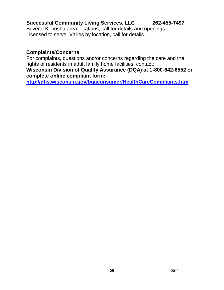### **Successful Community Living Services, LLC 262-455-7497**

Several Kenosha area locations, call for details and openings. Licensed to serve: Varies by location, call for details.

#### **Complaints/Concerns**

For complaints, questions and/or concerns regarding the care and the rights of residents in adult family home facilities, contact:

#### **Wisconsin Division of Quality Assurance (DQA) at 1-800-642-6552 or complete online complaint form:**

**<http://dhs.wisconsin.gov/bqaconsumer/HealthCareComplaints.htm>**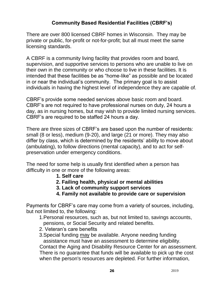### **Community Based Residential Facilities (CBRF's)**

There are over 800 licensed CBRF homes in Wisconsin. They may be private or public, for-profit or not-for-profit; but all must meet the same licensing standards.

A CBRF is a community living facility that provides room and board, supervision, and supportive services to persons who are unable to live on their own in the community or who choose to live in these facilities. It is intended that these facilities be as "home-like" as possible and be located in or near the individual's community. The primary goal is to assist individuals in having the highest level of independence they are capable of.

CBRF's provide some needed services above basic room and board. CBRF's are not required to have professional nurses on duty, 24 hours a day, as in nursing homes, but may wish to provide limited nursing services. CBRF's are required to be staffed 24 hours a day.

There are three sizes of CBRF's are based upon the number of residents: small (8 or less), medium (9-20), and large (21 or more). They may also differ by class, which is determined by the residents' ability to move about (ambulating), to follow directions (mental capacity), and to act for selfpreservation under emergency conditions.

The need for some help is usually first identified when a person has difficulty in one or more of the following areas:

- **1. Self care**
- **2. Failing health, physical or mental abilities**
- **3. Lack of community support services**
- **4. Family not available to provide care or supervision**

Payments for CBRF's care may come from a variety of sources, including, but not limited to, the following:

 1.Personal resources, such as, but not limited to, savings accounts, pensions, or Social Security and related benefits.

- 2. Veteran's care benefits
- 3.Special funding may be available. Anyone needing funding assistance must have an assessment to determine eligibility.

Contact the Aging and Disability Resource Center for an assessment. There is no guarantee that funds will be available to pick up the cost when the person's resources are depleted. For further information,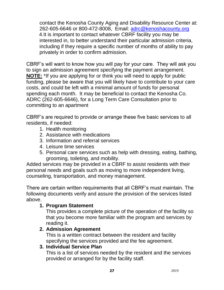contact the Kenosha County Aging and Disability Resource Center at: 262-605-6646 or 800-472-8008, Email: [adrc@kenoshacounty.org](mailto:adrc@kenoshacounty.org) 4.It is important to contact whatever CBRF facility you may be interested in, to better understand their particular admission criteria, including if they require a specific number of months of ability to pay privately in order to confirm admission.

CBRF's will want to know how you will pay for your care. They will ask you to sign an admission agreement specifying the payment arrangement. **NOTE:** \*If you are applying for or think you will need to apply for public funding, please be aware that you will likely have to contribute to your care costs, and could be left with a minimal amount of funds for personal spending each month. It may be beneficial to contact the Kenosha Co. ADRC (262-605-6646), for a Long Term Care Consultation prior to committing to an apartment

CBRF's are required to provide or arrange these five basic services to all residents, if needed:

- 1. Health monitoring
- 2. Assistance with medications
- 3. Information and referral services
- 4. Leisure time services
- 5. Personal care services such as help with dressing, eating, bathing, grooming, toileting, and mobility.

Added services may be provided in a CBRF to assist residents with their personal needs and goals such as moving to more independent living, counseling, transportation, and money management.

There are certain written requirements that all CBRF's must maintain. The following documents verify and assure the provision of the services listed above.

### **1. Program Statement**

This provides a complete picture of the operation of the facility so that you become more familiar with the program and services by reading it.

### **2. Admission Agreement**

This is a written contract between the resident and facility specifying the services provided and the fee agreement.

### **3. Individual Service Plan**

This is a list of services needed by the resident and the services provided or arranged for by the facility staff.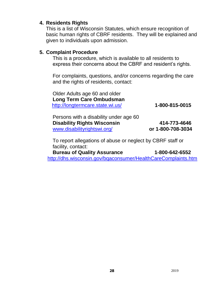#### **4. Residents Rights**

This is a list of Wisconsin Statutes, which ensure recognition of basic human rights of CBRF residents. They will be explained and given to individuals upon admission.

#### **5. Complaint Procedure**

This is a procedure, which is available to all residents to express their concerns about the CBRF and resident's rights.

For complaints, questions, and/or concerns regarding the care and the rights of residents, contact:

Older Adults age 60 and older **Long Term Care Ombudsman** <http://longtermcare.state.wi.us/> **1-800-815-0015**

| Persons with a disability under age 60 |                   |
|----------------------------------------|-------------------|
| <b>Disability Rights Wisconsin</b>     | 414-773-4646      |
| www.disabilityrightswi.org/            | or 1-800-708-3034 |

To report allegations of abuse or neglect by CBRF staff or facility, contact:

**Bureau of Quality Assurance 1-800-642-6552**  <http://dhs.wisconsin.gov/bqaconsumer/HealthCareComplaints.htm>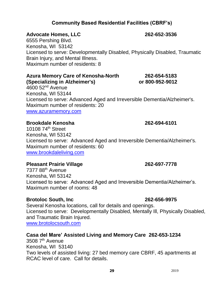## **29** 2019

### **Community Based Residential Facilities (CBRF's)**

#### **Advocate Homes, LLC 262-652-3536**

6555 Pershing Blvd. Kenosha, WI 53142 Licensed to serve: Developmentally Disabled, Physically Disabled, Traumatic Brain Injury, and Mental Illness. Maximum number of residents: 8

#### **Azura Memory Care of Kenosha-North 262-654-5183 (Specializing in Alzheimer's) or 800-952-9012**

 $4600$  52<sup>nd</sup> Avenue Kenosha, WI 53144 Licensed to serve: Advanced Aged and Irreversible Dementia/Alzheimer's. Maximum number of residents: 20 [www.azuramemory.com](http://www.azuramemory.com/)

#### **Brookdale Kenosha 262-694-6101**

### 10108 74<sup>th</sup> Street Kenosha, WI 53142 Licensed to serve: Advanced Aged and Irreversible Dementia/Alzheimer's. Maximum number of residents: 60 [www.brookdaleliving.com](http://www.brookdaleliving.com/)

### **Pleasant Prairie Village 262-697-7778**

7377 88th Avenue Kenosha, WI 53142 Licensed to serve: Advanced Aged and Irreversible Dementia/Alzheimer's. Maximum number of rooms: 48

### **Brotoloc South, Inc 262-656-9975**

Several Kenosha locations, call for details and openings. Licensed to serve: Developmentally Disabled, Mentally Ill, Physically Disabled, and Traumatic Brain Injured. [www.brotolocsouth.com](http://www.brotolocsouth.com/)

### **Casa del Mare' Assisted Living and Memory Care 262-653-1234**

3508 7<sup>th</sup> Avenue Kenosha, WI 53140 Two levels of assisted living: 27 bed memory care CBRF, 45 apartments at RCAC level of care. Call for details.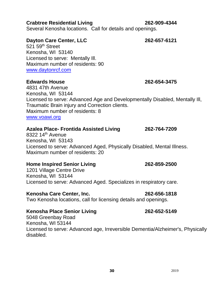#### **Crabtree Residential Living 262-909-4344**

Several Kenosha locations. Call for details and openings.

#### **Dayton Care Center, LLC 262-657-6121**

 $521.59<sup>th</sup>$  Street Kenosha, WI 53140 Licensed to serve: Mentally Ill. Maximum number of residents: 90 [www.daytonrcf.com](http://www.daytonrcf.com/) 

#### **Edwards House 262-654-3475**

4831 47th Avenue Kenosha, WI 53144 Licensed to serve: Advanced Age and Developmentally Disabled, Mentally Ill, Traumatic Brain injury and Correction clients. Maximum number of residents: 8 [www.voawi.org](http://www.voawi.org/)

#### **Azalea Place- Frontida Assisted Living 262-764-7209**

 $8322$  14<sup>th</sup> Avenue Kenosha, WI 53143 Licensed to serve: Advanced Aged, Physically Disabled, Mental Illness. Maximum number of residents: 20

#### **Home Inspired Senior Living 262-859-2500**

1201 Village Centre Drive Kenosha, WI 53144 Licensed to serve: Advanced Aged. Specializes in respiratory care.

#### **Kenosha Care Center, Inc. 262-656-1818**

Two Kenosha locations, call for licensing details and openings.

#### **Kenosha Place Senior Living 262-652-5149**

5048 Greenbay Road Kenosha, WI 53144 Licensed to serve: Advanced age, Irreversible Dementia/Alzheimer's, Physically disabled.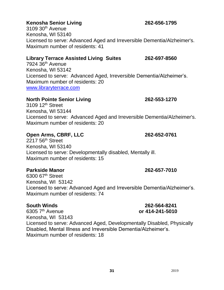### **Kenosha Senior Living 262-656-1795**

 $3109.30<sup>th</sup>$  Avenue Kenosha, WI 53140 Licensed to serve: Advanced Aged and Irreversible Dementia/Alzheimer's. Maximum number of residents: 41

#### **Library Terrace Assisted Living Suites 262-697-8560**

7924 36th Avenue Kenosha, WI 53142 Licensed to serve: Advanced Aged, Irreversible Dementia/Alzheimer's. Maximum number of residents: 20 [www.libraryterrace.com](http://www.libraryterrace.com/)

#### **North Pointe Senior Living 262-553-1270**

3109 12<sup>th</sup> Street Kenosha, WI 53144 Licensed to serve: Advanced Aged and Irreversible Dementia/Alzheimer's. Maximum number of residents: 20

#### **Open Arms, CBRF, LLC 262-652-0761**

2217 56<sup>th</sup> Street Kenosha, WI 53140 Licensed to serve: Developmentally disabled, Mentally ill. Maximum number of residents: 15

#### **Parkside Manor 262-657-7010**

6300 67th Street Kenosha, WI 53142 Licensed to serve: Advanced Aged and Irreversible Dementia/Alzheimer's. Maximum number of residents: 74

6305 7th Avenue **or 414-241-5010** Kenosha, WI 53143 Licensed to serve: Advanced Aged, Developmentally Disabled, Physically Disabled, Mental Illness and Irreversible Dementia/Alzheimer's. Maximum number of residents: 18

# **South Winds 262-564-8241**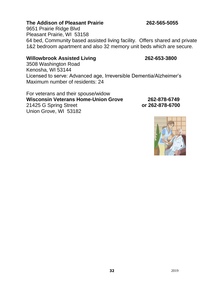#### **The Addison of Pleasant Prairie 262-565-5055**

9651 Prairie Ridge Blvd Pleasant Prairie, WI 53158 64 bed, Community based assisted living facility. Offers shared and private 1&2 bedroom apartment and also 32 memory unit beds which are secure.

#### **Willowbrook Assisted Living 262-653-3800**

3508 Washington Road Kenosha, WI 53144 Licensed to serve: Advanced age, Irreversible Dementia/Alzheimer's Maximum number of residents: 24

For veterans and their spouse/widow **Wisconsin Veterans Home-Union Grove 262-878-6749** 21425 G Spring Street **or 262-878-6700** Union Grove, WI 53182

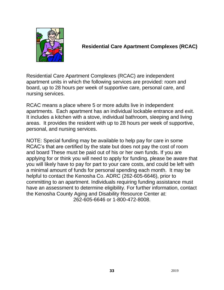

### **Residential Care Apartment Complexes (RCAC)**

Residential Care Apartment Complexes (RCAC) are independent apartment units in which the following services are provided: room and board, up to 28 hours per week of supportive care, personal care, and nursing services.

RCAC means a place where 5 or more adults live in independent apartments. Each apartment has an individual lockable entrance and exit. It includes a kitchen with a stove, individual bathroom, sleeping and living areas. It provides the resident with up to 28 hours per week of supportive, personal, and nursing services.

NOTE: Special funding may be available to help pay for care in some RCAC's that are certified by the state but does not pay the cost of room and board These must be paid out of his or her own funds. If you are applying for or think you will need to apply for funding, please be aware that you will likely have to pay for part to your care costs, and could be left with a minimal amount of funds for personal spending each month. It may be helpful to contact the Kenosha Co. ADRC (262-605-6646), prior to committing to an apartment. Individuals requiring funding assistance must have an assessment to determine eligibility. For further information, contact the Kenosha County Aging and Disability Resource Center at: 262-605-6646 or 1-800-472-8008.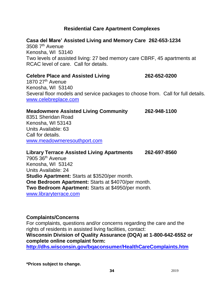### **Residential Care Apartment Complexes**

#### **Casa del Mare' Assisted Living and Memory Care 262-653-1234**

3508 7<sup>th</sup> Avenue Kenosha, WI 53140 Two levels of assisted living: 27 bed memory care CBRF, 45 apartments at RCAC level of care. Call for details.

#### **Celebre Place and Assisted Living 262-652-0200**

1870 27<sup>th</sup> Avenue Kenosha, WI 53140 Several floor models and service packages to choose from. Call for full details. [www.celebreplace.com](http://www.celebreplace.com/)

#### **Meadowmere Assisted Living Community 262-948-1100**

8351 Sheridan Road Kenosha, WI 53143 Units Available: 63 Call for details. [www.meadowmeresouthport.com](http://www.meadowmeresouthport.com/)

**Library Terrace Assisted Living Apartments 262-697-8560**  $7905.36<sup>th</sup>$  Avenue Kenosha, WI 53142 Units Available: 24 **Studio Apartment:** Starts at \$3520/per month. **One Bedroom Apartment:** Starts at \$4070/per month. **Two Bedroom Apartment:** Starts at \$4950/per month. [www.libraryterrace.com](http://www.libraryterrace.com/)

#### **Complaints/Concerns**

For complaints, questions and/or concerns regarding the care and the rights of residents in assisted living facilities, contact: **Wisconsin Division of Quality Assurance (DQA) at 1-800-642-6552 or complete online complaint form: <http://dhs.wisconsin.gov/bqaconsumer/HealthCareComplaints.htm>**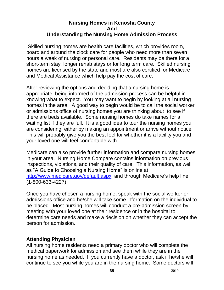#### **Nursing Homes in Kenosha County And Understanding the Nursing Home Admission Process**

Skilled nursing homes are health care facilities, which provides room, board and around the clock care for people who need more than seven hours a week of nursing or personal care. Residents may be there for a short-term stay, longer rehab stays or for long term care. Skilled nursing homes are licensed by the state and most are also certified for Medicare and Medical Assistance which help pay the cost of care.

After reviewing the options and deciding that a nursing home is appropriate, being informed of the admission process can be helpful in knowing what to expect. You may want to begin by looking at all nursing homes in the area. A good way to begin would be to call the social worker or admissions office of nursing homes you are thinking about to see if there are beds available. Some nursing homes do take names for a waiting list if they are full. It is a good idea to tour the nursing homes you are considering, either by making an appointment or arrive without notice. This will probably give you the best feel for whether it is a facility you and your loved one will feel comfortable with.

Medicare can also provide further information and compare nursing homes in your area. Nursing Home Compare contains information on previous inspections, violations, and their quality of care. This information, as well as "A Guide to Choosing a Nursing Home" is online at <http://www.medicare.gov/default.aspx> and through Medicare's help line, (1-800-633-4227).

Once you have chosen a nursing home, speak with the social worker or admissions office and he/she will take some information on the individual to be placed. Most nursing homes will conduct a pre-admission screen by meeting with your loved one at their residence or in the hospital to determine care needs and make a decision on whether they can accept the person for admission.

### **Attending Physician**

All nursing home residents need a primary doctor who will complete the medical paperwork for admission and see them while they are in the nursing home as needed. If you currently have a doctor, ask if he/she will continue to see you while you are in the nursing home. Some doctors will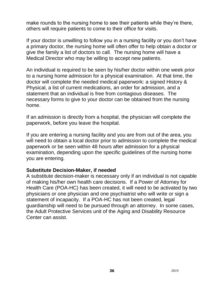make rounds to the nursing home to see their patients while they're there, others will require patients to come to their office for visits.

If your doctor is unwilling to follow you in a nursing facility or you don't have a primary doctor, the nursing home will often offer to help obtain a doctor or give the family a list of doctors to call. The nursing home will have a Medical Director who may be willing to accept new patients.

An individual is required to be seen by his/her doctor within one week prior to a nursing home admission for a physical examination. At that time, the doctor will complete the needed medical paperwork: a signed History & Physical, a list of current medications, an order for admission, and a statement that an individual is free from contagious diseases. The necessary forms to give to your doctor can be obtained from the nursing home.

If an admission is directly from a hospital, the physician will complete the paperwork, before you leave the hospital.

If you are entering a nursing facility and you are from out of the area, you will need to obtain a local doctor prior to admission to complete the medical paperwork or be seen within 48 hours after admission for a physical examination, depending upon the specific guidelines of the nursing home you are entering.

#### **Substitute Decision-Maker, if needed**

A substitute decision-maker is necessary only if an individual is not capable of making his/her own health care decisions. If a Power of Attorney for Health Care (POA-HC) has been created, it will need to be activated by two physicians or one physician and one psychiatrist who will write or sign a statement of incapacity. If a POA-HC has not been created, legal guardianship will need to be pursued through an attorney. In some cases, the Adult Protective Services unit of the Aging and Disability Resource Center can assist.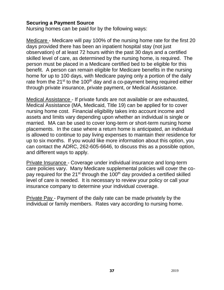### **Securing a Payment Source**

Nursing homes can be paid for by the following ways:

Medicare - Medicare will pay 100% of the nursing home rate for the first 20 days provided there has been an inpatient hospital stay (not just observation) of at least 72 hours within the past 30 days and a certified skilled level of care, as determined by the nursing home, is required. The person must be placed in a Medicare certified bed to be eligible for this benefit. A person can remain eligible for Medicare benefits in the nursing home for up to 100 days, with Medicare paying only a portion of the daily rate from the  $21^{st}$  to the 100<sup>th</sup> day and a co-payment being required either through private insurance, private payment, or Medical Assistance.

Medical Assistance - If private funds are not available or are exhausted, Medical Assistance (MA, Medicaid, Title 19) can be applied for to cover nursing home cost. Financial eligibility takes into account income and assets and limits vary depending upon whether an individual is single or married. MA can be used to cover long-term or short-term nursing home placements. In the case where a return home is anticipated, an individual is allowed to continue to pay living expenses to maintain their residence for up to six months. If you would like more information about this option, you can contact the ADRC, 262-605-6646, to discuss this as a possible option, and different ways to apply.

Private Insurance - Coverage under individual insurance and long-term care policies vary. Many Medicare supplemental policies will cover the copay required for the  $21^{st}$  through the 100<sup>th</sup> day provided a certified skilled level of care is needed. It is necessary to review your policy or call your insurance company to determine your individual coverage.

Private Pay - Payment of the daily rate can be made privately by the individual or family members. Rates vary according to nursing home.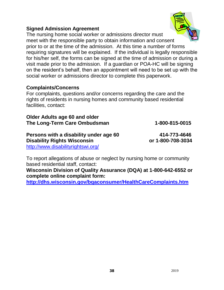### **Signed Admission Agreement**

The nursing home social worker or admissions director must meet with the responsible party to obtain information and consent prior to or at the time of the admission. At this time a number of forms requiring signatures will be explained. If the individual is legally responsible for his/her self, the forms can be signed at the time of admission or during a visit made prior to the admission. If a guardian or POA-HC will be signing on the resident's behalf, then an appointment will need to be set up with the social worker or admissions director to complete this paperwork.

#### **Complaints/Concerns**

For complaints, questions and/or concerns regarding the care and the rights of residents in nursing homes and community based residential facilities, contact:

**Older Adults age 60 and older The Long-Term Care Ombudsman 1-800-815-0015**

**Persons with a disability under age 60 414-773-4646 Disability Rights Wisconsin by Community Rights Wisconsin or 1-800-708-3034** <http://www.disabilityrightswi.org/>

To report allegations of abuse or neglect by nursing home or community based residential staff, contact:

**Wisconsin Division of Quality Assurance (DQA) at 1-800-642-6552 or complete online complaint form:**

**<http://dhs.wisconsin.gov/bqaconsumer/HealthCareComplaints.htm>**

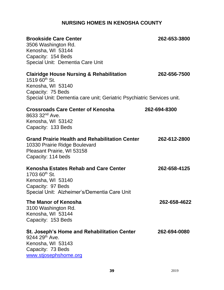### **NURSING HOMES IN KENOSHA COUNTY**

| <b>Brookside Care Center</b><br>3506 Washington Rd.<br>Kenosha, WI 53144<br>Capacity: 154 Beds<br>Special Unit: Dementia Care Unit                                                            | 262-653-3800 |
|-----------------------------------------------------------------------------------------------------------------------------------------------------------------------------------------------|--------------|
| <b>Clairidge House Nursing &amp; Rehabilitation</b><br>1519 $60^{th}$ St.<br>Kenosha, WI 53140<br>Capacity: 75 Beds<br>Special Unit: Dementia care unit; Geriatric Psychiatric Services unit. | 262-656-7500 |
| <b>Crossroads Care Center of Kenosha</b><br>8633 32 <sup>nd</sup> Ave.<br>Kenosha, WI 53142<br>Capacity: 133 Beds                                                                             | 262-694-8300 |
| Grand Prairie Health and Rehabilitation Center<br>10330 Prairie Ridge Boulevard<br>Pleasant Prairie, WI 53158<br>Capacity: 114 beds                                                           | 262-612-2800 |
| <b>Kenosha Estates Rehab and Care Center</b><br>1703 60 <sup>th</sup> St.<br>Kenosha, WI 53140<br>Capacity: 97 Beds<br>Special Unit: Alzheimer's/Dementia Care Unit                           | 262-658-4125 |
| The Manor of Kenosha<br>3100 Washington Rd.<br>Kenosha, WI 53144<br>Capacity: 153 Beds                                                                                                        | 262-658-4622 |
| St. Joseph's Home and Rehabilitation Center<br>9244 29 <sup>th</sup> Ave.<br>Kenosha, WI 53143<br>Capacity: 73 Beds<br>www.stjosephshome.org                                                  | 262-694-0080 |